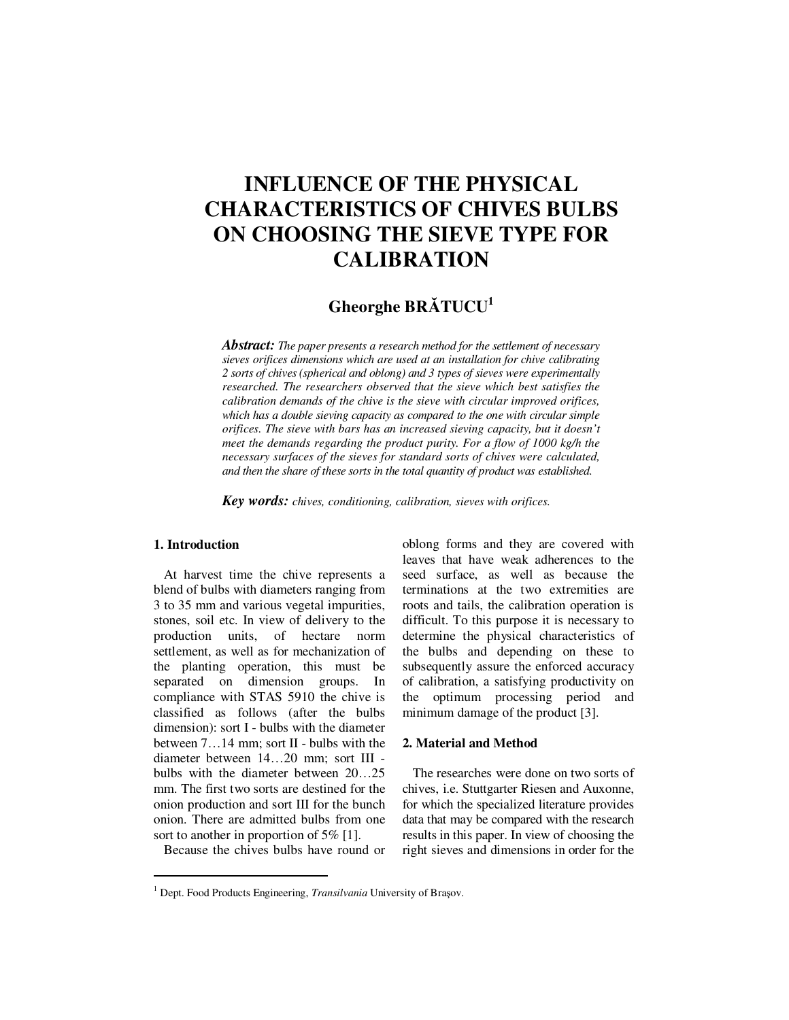# **INFLUENCE OF THE PHYSICAL CHARACTERISTICS OF CHIVES BULBS ON CHOOSING THE SIEVE TYPE FOR CALIBRATION**

# **Gheorghe BR**Ă**TUCU<sup>1</sup>**

*Abstract: The paper presents a research method for the settlement of necessary sieves orifices dimensions which are used at an installation for chive calibrating 2 sorts of chives (spherical and oblong) and 3 types of sieves were experimentally researched. The researchers observed that the sieve which best satisfies the calibration demands of the chive is the sieve with circular improved orifices, which has a double sieving capacity as compared to the one with circular simple orifices. The sieve with bars has an increased sieving capacity, but it doesn't meet the demands regarding the product purity. For a flow of 1000 kg/h the necessary surfaces of the sieves for standard sorts of chives were calculated, and then the share of these sorts in the total quantity of product was established.* 

*Key words: chives, conditioning, calibration, sieves with orifices.*

### **1. Introduction**

 $\ddot{ }$ 

At harvest time the chive represents a blend of bulbs with diameters ranging from 3 to 35 mm and various vegetal impurities, stones, soil etc. In view of delivery to the production units, of hectare norm settlement, as well as for mechanization of the planting operation, this must be separated on dimension groups. In compliance with STAS 5910 the chive is classified as follows (after the bulbs dimension): sort I - bulbs with the diameter between 7…14 mm; sort II - bulbs with the diameter between 14…20 mm; sort III bulbs with the diameter between 20…25 mm. The first two sorts are destined for the onion production and sort III for the bunch onion. There are admitted bulbs from one sort to another in proportion of 5% [1].

Because the chives bulbs have round or

oblong forms and they are covered with leaves that have weak adherences to the seed surface, as well as because the terminations at the two extremities are roots and tails, the calibration operation is difficult. To this purpose it is necessary to determine the physical characteristics of the bulbs and depending on these to subsequently assure the enforced accuracy of calibration, a satisfying productivity on the optimum processing period and minimum damage of the product [3].

# **2. Material and Method**

The researches were done on two sorts of chives, i.e. Stuttgarter Riesen and Auxonne, for which the specialized literature provides data that may be compared with the research results in this paper. In view of choosing the right sieves and dimensions in order for the

<sup>&</sup>lt;sup>1</sup> Dept. Food Products Engineering, *Transilvania* University of Brașov.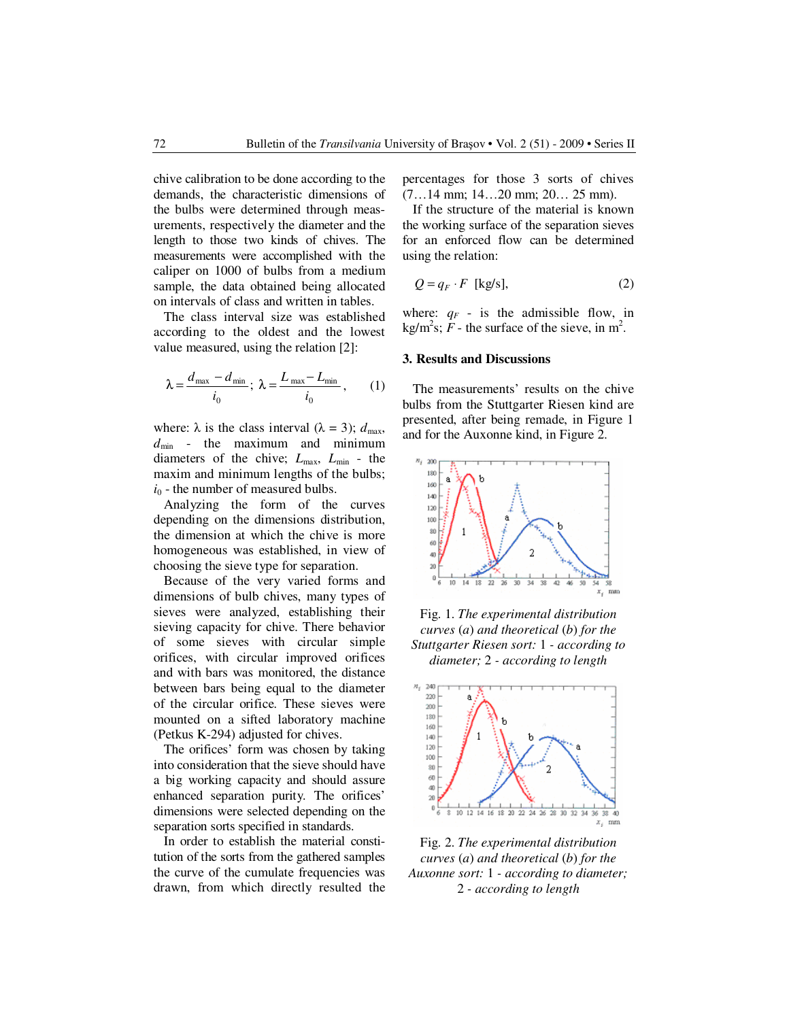chive calibration to be done according to the demands, the characteristic dimensions of the bulbs were determined through measurements, respectively the diameter and the length to those two kinds of chives. The measurements were accomplished with the caliper on 1000 of bulbs from a medium sample, the data obtained being allocated on intervals of class and written in tables.

The class interval size was established according to the oldest and the lowest value measured, using the relation [2]:

$$
\lambda = \frac{d_{\text{max}} - d_{\text{min}}}{i_0}; \ \lambda = \frac{L_{\text{max}} - L_{\text{min}}}{i_0}, \qquad (1)
$$

where:  $\lambda$  is the class interval ( $\lambda = 3$ );  $d_{\text{max}}$ , *d*min - the maximum and minimum diameters of the chive; *L*max, *L*min - the maxim and minimum lengths of the bulbs;  $i_0$  - the number of measured bulbs.

Analyzing the form of the curves depending on the dimensions distribution, the dimension at which the chive is more homogeneous was established, in view of choosing the sieve type for separation.

Because of the very varied forms and dimensions of bulb chives, many types of sieves were analyzed, establishing their sieving capacity for chive. There behavior of some sieves with circular simple orifices, with circular improved orifices and with bars was monitored, the distance between bars being equal to the diameter of the circular orifice. These sieves were mounted on a sifted laboratory machine (Petkus K-294) adjusted for chives.

The orifices' form was chosen by taking into consideration that the sieve should have a big working capacity and should assure enhanced separation purity. The orifices' dimensions were selected depending on the separation sorts specified in standards.

In order to establish the material constitution of the sorts from the gathered samples the curve of the cumulate frequencies was drawn, from which directly resulted the

percentages for those 3 sorts of chives (7…14 mm; 14…20 mm; 20… 25 mm).

If the structure of the material is known the working surface of the separation sieves for an enforced flow can be determined using the relation:

$$
Q = q_F \cdot F \text{ [kg/s]},\tag{2}
$$

where:  $q_F$  - is the admissible flow, in kg/m<sup>2</sup>s;  $\tilde{F}$  - the surface of the sieve, in m<sup>2</sup>.

# **3. Results and Discussions**

The measurements' results on the chive bulbs from the Stuttgarter Riesen kind are presented, after being remade, in Figure 1 and for the Auxonne kind, in Figure 2.



Fig. 1. *The experimental distribution curves* (*a*) *and theoretical* (*b*) *for the Stuttgarter Riesen sort:* 1 *- according to diameter;* 2 *- according to length* 



Fig. 2. *The experimental distribution curves* (*a*) *and theoretical* (*b*) *for the Auxonne sort:* 1 *- according to diameter;*  2 *- according to length*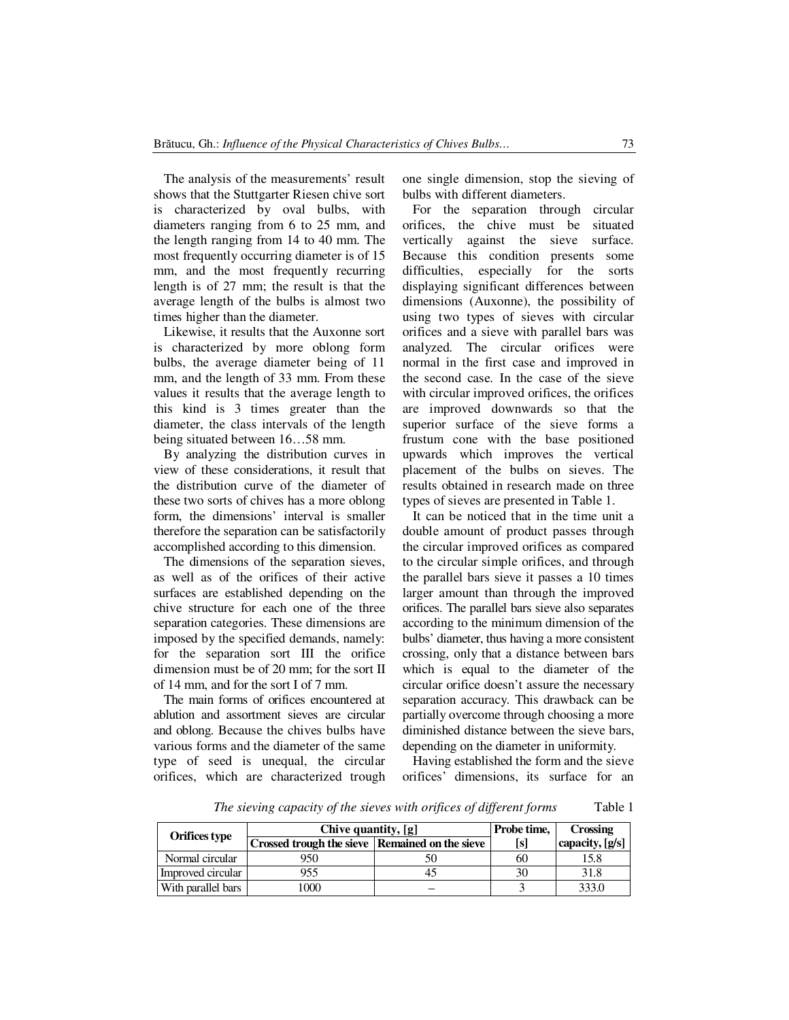The analysis of the measurements' result shows that the Stuttgarter Riesen chive sort is characterized by oval bulbs, with diameters ranging from 6 to 25 mm, and the length ranging from 14 to 40 mm. The most frequently occurring diameter is of 15 mm, and the most frequently recurring length is of 27 mm; the result is that the average length of the bulbs is almost two times higher than the diameter.

Likewise, it results that the Auxonne sort is characterized by more oblong form bulbs, the average diameter being of 11 mm, and the length of 33 mm. From these values it results that the average length to this kind is 3 times greater than the diameter, the class intervals of the length being situated between 16…58 mm.

By analyzing the distribution curves in view of these considerations, it result that the distribution curve of the diameter of these two sorts of chives has a more oblong form, the dimensions' interval is smaller therefore the separation can be satisfactorily accomplished according to this dimension.

The dimensions of the separation sieves, as well as of the orifices of their active surfaces are established depending on the chive structure for each one of the three separation categories. These dimensions are imposed by the specified demands, namely: for the separation sort III the orifice dimension must be of 20 mm; for the sort II of 14 mm, and for the sort I of 7 mm.

The main forms of orifices encountered at ablution and assortment sieves are circular and oblong. Because the chives bulbs have various forms and the diameter of the same type of seed is unequal, the circular orifices, which are characterized trough one single dimension, stop the sieving of bulbs with different diameters.

For the separation through circular orifices, the chive must be situated vertically against the sieve surface. Because this condition presents some difficulties, especially for the sorts displaying significant differences between dimensions (Auxonne), the possibility of using two types of sieves with circular orifices and a sieve with parallel bars was analyzed. The circular orifices were normal in the first case and improved in the second case. In the case of the sieve with circular improved orifices, the orifices are improved downwards so that the superior surface of the sieve forms a frustum cone with the base positioned upwards which improves the vertical placement of the bulbs on sieves. The results obtained in research made on three types of sieves are presented in Table 1.

It can be noticed that in the time unit a double amount of product passes through the circular improved orifices as compared to the circular simple orifices, and through the parallel bars sieve it passes a 10 times larger amount than through the improved orifices. The parallel bars sieve also separates according to the minimum dimension of the bulbs' diameter, thus having a more consistent crossing, only that a distance between bars which is equal to the diameter of the circular orifice doesn't assure the necessary separation accuracy. This drawback can be partially overcome through choosing a more diminished distance between the sieve bars, depending on the diameter in uniformity.

Having established the form and the sieve orifices' dimensions, its surface for an

*The sieving capacity of the sieves with orifices of different forms* Table 1

|                    | Chive quantity, [g]                              | Probe time, | <b>Crossing</b> |                 |
|--------------------|--------------------------------------------------|-------------|-----------------|-----------------|
| Orifices type      | Crossed trough the sieve   Remained on the sieve |             | [s]             | capacity, [g/s] |
| Normal circular    | 950                                              |             | 60              | 15.8            |
| Improved circular  | 955                                              |             | 30              | 31.8            |
| With parallel bars | 1000                                             |             |                 | 333.0           |